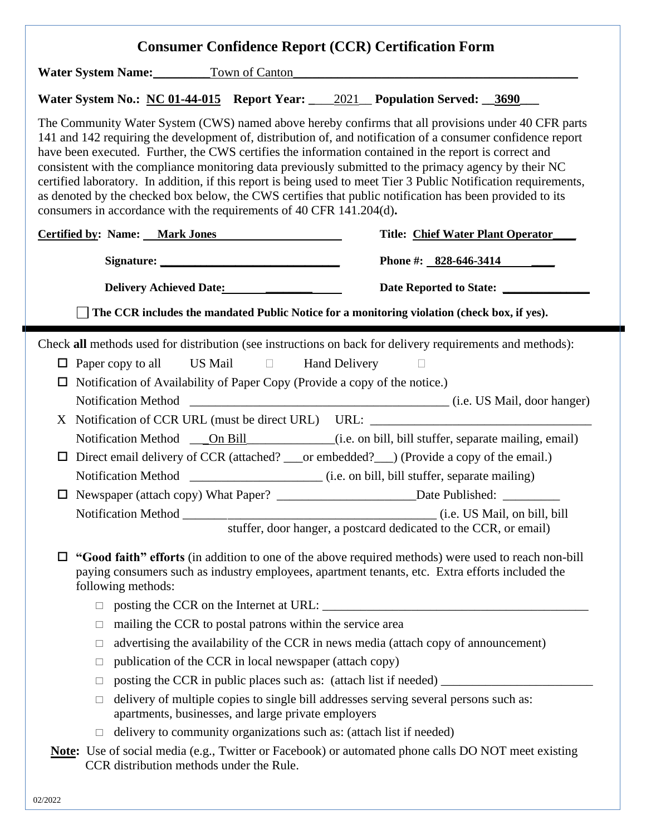|                                                                     |                                                                            | <b>Consumer Confidence Report (CCR) Certification Form</b>                                                                                                                                                                                                                                                                                                                                                                                                                                                                                                                                                                                                           |
|---------------------------------------------------------------------|----------------------------------------------------------------------------|----------------------------------------------------------------------------------------------------------------------------------------------------------------------------------------------------------------------------------------------------------------------------------------------------------------------------------------------------------------------------------------------------------------------------------------------------------------------------------------------------------------------------------------------------------------------------------------------------------------------------------------------------------------------|
|                                                                     |                                                                            | Water System Name: Town of Canton                                                                                                                                                                                                                                                                                                                                                                                                                                                                                                                                                                                                                                    |
|                                                                     |                                                                            | Water System No.: NC 01-44-015 Report Year: 2021 Population Served: 3690                                                                                                                                                                                                                                                                                                                                                                                                                                                                                                                                                                                             |
| consumers in accordance with the requirements of 40 CFR 141.204(d). |                                                                            | The Community Water System (CWS) named above hereby confirms that all provisions under 40 CFR parts<br>141 and 142 requiring the development of, distribution of, and notification of a consumer confidence report<br>have been executed. Further, the CWS certifies the information contained in the report is correct and<br>consistent with the compliance monitoring data previously submitted to the primacy agency by their NC<br>certified laboratory. In addition, if this report is being used to meet Tier 3 Public Notification requirements,<br>as denoted by the checked box below, the CWS certifies that public notification has been provided to its |
| <b>Certified by: Name: Mark Jones</b>                               |                                                                            | Title: Chief Water Plant Operator                                                                                                                                                                                                                                                                                                                                                                                                                                                                                                                                                                                                                                    |
|                                                                     |                                                                            | Phone #: $828-646-3414$                                                                                                                                                                                                                                                                                                                                                                                                                                                                                                                                                                                                                                              |
|                                                                     |                                                                            |                                                                                                                                                                                                                                                                                                                                                                                                                                                                                                                                                                                                                                                                      |
|                                                                     |                                                                            | The CCR includes the mandated Public Notice for a monitoring violation (check box, if yes).                                                                                                                                                                                                                                                                                                                                                                                                                                                                                                                                                                          |
|                                                                     |                                                                            | Check all methods used for distribution (see instructions on back for delivery requirements and methods):                                                                                                                                                                                                                                                                                                                                                                                                                                                                                                                                                            |
|                                                                     | $\Box$ Paper copy to all US Mail $\Box$ Hand Delivery                      |                                                                                                                                                                                                                                                                                                                                                                                                                                                                                                                                                                                                                                                                      |
| $\Box$                                                              | Notification of Availability of Paper Copy (Provide a copy of the notice.) |                                                                                                                                                                                                                                                                                                                                                                                                                                                                                                                                                                                                                                                                      |
|                                                                     |                                                                            |                                                                                                                                                                                                                                                                                                                                                                                                                                                                                                                                                                                                                                                                      |
|                                                                     |                                                                            | X Notification of CCR URL (must be direct URL) URL: ____________________________                                                                                                                                                                                                                                                                                                                                                                                                                                                                                                                                                                                     |
|                                                                     |                                                                            |                                                                                                                                                                                                                                                                                                                                                                                                                                                                                                                                                                                                                                                                      |
|                                                                     |                                                                            | $\Box$ Direct email delivery of CCR (attached? ___ or embedded? ___ ) (Provide a copy of the email.)                                                                                                                                                                                                                                                                                                                                                                                                                                                                                                                                                                 |
|                                                                     |                                                                            |                                                                                                                                                                                                                                                                                                                                                                                                                                                                                                                                                                                                                                                                      |
|                                                                     |                                                                            | □ Newspaper (attach copy) What Paper? _________________________________Date Published: _____________                                                                                                                                                                                                                                                                                                                                                                                                                                                                                                                                                                 |
|                                                                     |                                                                            | stuffer, door hanger, a postcard dedicated to the CCR, or email)                                                                                                                                                                                                                                                                                                                                                                                                                                                                                                                                                                                                     |
| $\Box$<br>following methods:                                        |                                                                            | "Good faith" efforts (in addition to one of the above required methods) were used to reach non-bill<br>paying consumers such as industry employees, apartment tenants, etc. Extra efforts included the                                                                                                                                                                                                                                                                                                                                                                                                                                                               |
|                                                                     |                                                                            |                                                                                                                                                                                                                                                                                                                                                                                                                                                                                                                                                                                                                                                                      |
| $\Box$                                                              | mailing the CCR to postal patrons within the service area                  |                                                                                                                                                                                                                                                                                                                                                                                                                                                                                                                                                                                                                                                                      |
| $\Box$                                                              |                                                                            | advertising the availability of the CCR in news media (attach copy of announcement)                                                                                                                                                                                                                                                                                                                                                                                                                                                                                                                                                                                  |
| $\Box$                                                              | publication of the CCR in local newspaper (attach copy)                    |                                                                                                                                                                                                                                                                                                                                                                                                                                                                                                                                                                                                                                                                      |
| $\Box$                                                              |                                                                            |                                                                                                                                                                                                                                                                                                                                                                                                                                                                                                                                                                                                                                                                      |
| $\Box$                                                              | apartments, businesses, and large private employers                        | delivery of multiple copies to single bill addresses serving several persons such as:                                                                                                                                                                                                                                                                                                                                                                                                                                                                                                                                                                                |
| $\Box$                                                              | delivery to community organizations such as: (attach list if needed)       |                                                                                                                                                                                                                                                                                                                                                                                                                                                                                                                                                                                                                                                                      |
|                                                                     |                                                                            |                                                                                                                                                                                                                                                                                                                                                                                                                                                                                                                                                                                                                                                                      |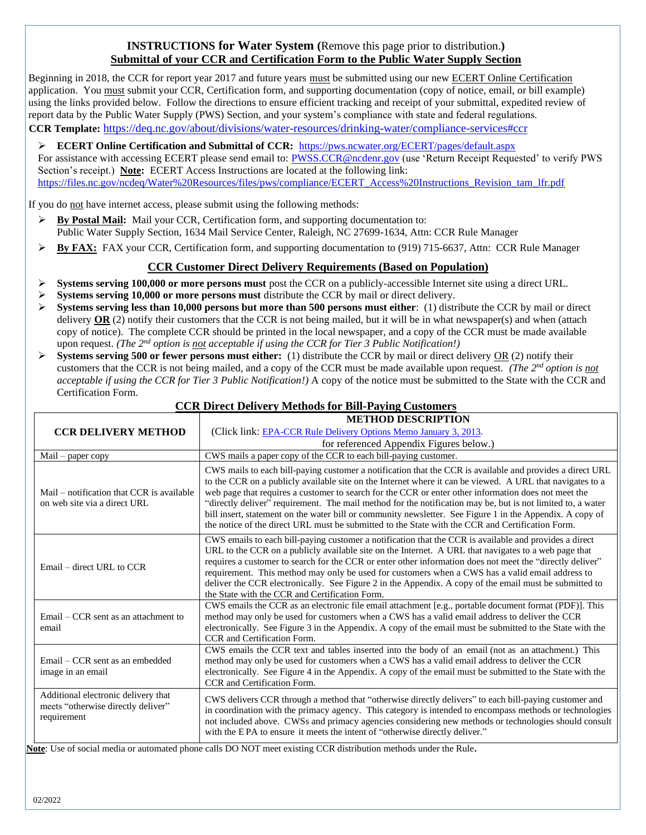### **INSTRUCTIONS for Water System (**Remove this page prior to distribution.**) Submittal of your CCR and Certification Form to the Public Water Supply Section**

Beginning in 2018, the CCR for report year 2017 and future years must be submitted using our new ECERT Online Certification application. You must submit your CCR, Certification form, and supporting documentation (copy of notice, email, or bill example) using the links provided below. Follow the directions to ensure efficient tracking and receipt of your submittal, expedited review of report data by the Public Water Supply (PWS) Section, and your system's compliance with state and federal regulations.

➢ **CCR Template:** <https://deq.nc.gov/about/divisions/water-resources/drinking-water/compliance-services#ccr>

➢ **ECERT Online Certification and Submittal of CCR:** <https://pws.ncwater.org/ECERT/pages/default.aspx>

For assistance with accessing ECERT please send email to: [PWSS.CCR@ncdenr.gov](mailto:PWSS.CCR@ncdenr.gov) (use 'Return Receipt Requested' to verify PWS Section's receipt.) **Note:** ECERT Access Instructions are located at the following link: [https://files.nc.gov/ncdeq/Water%20Resources/files/pws/compliance/ECERT\\_Access%20Instructions\\_Revision\\_tam\\_lfr.pdf](https://files.nc.gov/ncdeq/Water%20Resources/files/pws/compliance/ECERT_Access%20Instructions_Revision_tam_lfr.pdf)

If you do not have internet access, please submit using the following methods:

- ➢ **By Postal Mail:** Mail your CCR, Certification form, and supporting documentation to: Public Water Supply Section, 1634 Mail Service Center, Raleigh, NC 27699-1634, Attn: CCR Rule Manager
- ➢ **By FAX:** FAX your CCR, Certification form, and supporting documentation to (919) 715-6637, Attn: CCR Rule Manager

# **CCR Customer Direct Delivery Requirements (Based on Population)**

- ➢ **Systems serving 100,000 or more persons must** post the CCR on a publicly-accessible Internet site using a direct URL.
- ➢ **Systems serving 10,000 or more persons must** distribute the CCR by mail or direct delivery.
- ➢ **Systems serving less than 10,000 persons but more than 500 persons must either**: (1) distribute the CCR by mail or direct delivery **OR** (2) notify their customers that the CCR is not being mailed, but it will be in what newspaper(s) and when (attach copy of notice). The complete CCR should be printed in the local newspaper, and a copy of the CCR must be made available upon request. *(The 2nd option is not acceptable if using the CCR for Tier 3 Public Notification!)*
- ➢ **Systems serving 500 or fewer persons must either:** (1) distribute the CCR by mail or direct delivery OR (2) notify their customers that the CCR is not being mailed, and a copy of the CCR must be made available upon request. *(The 2nd option is not acceptable if using the CCR for Tier 3 Public Notification!)* A copy of the notice must be submitted to the State with the CCR and Certification Form.

|                                                                                          | <b>METHOD DESCRIPTION</b>                                                                                                                                                                                                                                                                                                                                                                                                                                                                                                                                                                                                                                      |  |  |  |  |  |  |
|------------------------------------------------------------------------------------------|----------------------------------------------------------------------------------------------------------------------------------------------------------------------------------------------------------------------------------------------------------------------------------------------------------------------------------------------------------------------------------------------------------------------------------------------------------------------------------------------------------------------------------------------------------------------------------------------------------------------------------------------------------------|--|--|--|--|--|--|
| <b>CCR DELIVERY METHOD</b>                                                               | (Click link: EPA-CCR Rule Delivery Options Memo January 3, 2013.                                                                                                                                                                                                                                                                                                                                                                                                                                                                                                                                                                                               |  |  |  |  |  |  |
|                                                                                          | for referenced Appendix Figures below.)                                                                                                                                                                                                                                                                                                                                                                                                                                                                                                                                                                                                                        |  |  |  |  |  |  |
| Mail - paper copy                                                                        | CWS mails a paper copy of the CCR to each bill-paying customer.                                                                                                                                                                                                                                                                                                                                                                                                                                                                                                                                                                                                |  |  |  |  |  |  |
| Mail – notification that CCR is available<br>on web site via a direct URL                | CWS mails to each bill-paying customer a notification that the CCR is available and provides a direct URL<br>to the CCR on a publicly available site on the Internet where it can be viewed. A URL that navigates to a<br>web page that requires a customer to search for the CCR or enter other information does not meet the<br>"directly deliver" requirement. The mail method for the notification may be, but is not limited to, a water<br>bill insert, statement on the water bill or community newsletter. See Figure 1 in the Appendix. A copy of<br>the notice of the direct URL must be submitted to the State with the CCR and Certification Form. |  |  |  |  |  |  |
| Email – direct URL to CCR                                                                | CWS emails to each bill-paying customer a notification that the CCR is available and provides a direct<br>URL to the CCR on a publicly available site on the Internet. A URL that navigates to a web page that<br>requires a customer to search for the CCR or enter other information does not meet the "directly deliver"<br>requirement. This method may only be used for customers when a CWS has a valid email address to<br>deliver the CCR electronically. See Figure 2 in the Appendix. A copy of the email must be submitted to<br>the State with the CCR and Certification Form.                                                                     |  |  |  |  |  |  |
| Email – CCR sent as an attachment to<br>email                                            | CWS emails the CCR as an electronic file email attachment [e.g., portable document format (PDF)]. This<br>method may only be used for customers when a CWS has a valid email address to deliver the CCR<br>electronically. See Figure 3 in the Appendix. A copy of the email must be submitted to the State with the<br>CCR and Certification Form.                                                                                                                                                                                                                                                                                                            |  |  |  |  |  |  |
| Email – CCR sent as an embedded<br>image in an email                                     | CWS emails the CCR text and tables inserted into the body of an email (not as an attachment.) This<br>method may only be used for customers when a CWS has a valid email address to deliver the CCR<br>electronically. See Figure 4 in the Appendix. A copy of the email must be submitted to the State with the<br>CCR and Certification Form.                                                                                                                                                                                                                                                                                                                |  |  |  |  |  |  |
| Additional electronic delivery that<br>meets "otherwise directly deliver"<br>requirement | CWS delivers CCR through a method that "otherwise directly delivers" to each bill-paying customer and<br>in coordination with the primacy agency. This category is intended to encompass methods or technologies<br>not included above. CWSs and primacy agencies considering new methods or technologies should consult<br>with the EPA to ensure it meets the intent of "otherwise directly deliver."                                                                                                                                                                                                                                                        |  |  |  |  |  |  |

**CCR Direct Delivery Methods for Bill-Paying Customers**

 **Note**: Use of social media or automated phone calls DO NOT meet existing CCR distribution methods under the Rule**.**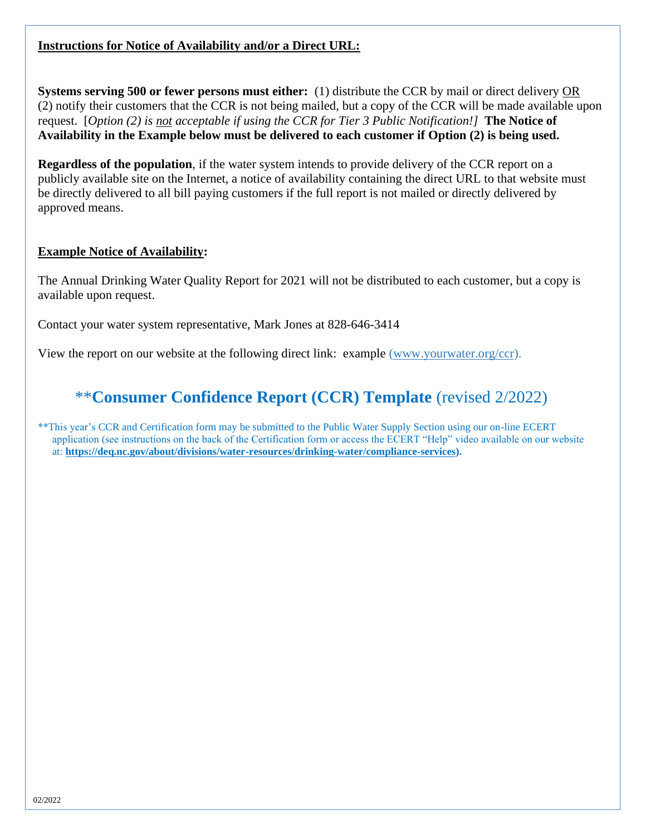# **Instructions for Notice of Availability and/or a Direct URL:**

**Systems serving 500 or fewer persons must either:** (1) distribute the CCR by mail or direct delivery OR (2) notify their customers that the CCR is not being mailed, but a copy of the CCR will be made available upon request. [*Option (2) is not acceptable if using the CCR for Tier 3 Public Notification!]* **The Notice of Availability in the Example below must be delivered to each customer if Option (2) is being used.**

**Regardless of the population**, if the water system intends to provide delivery of the CCR report on a publicly available site on the Internet, a notice of availability containing the direct URL to that website must be directly delivered to all bill paying customers if the full report is not mailed or directly delivered by approved means.

# **Example Notice of Availability:**

The Annual Drinking Water Quality Report for 2021 will not be distributed to each customer, but a copy is available upon request.

Contact your water system representative, Mark Jones at 828-646-3414

View the report on our website at the following direct link: example [\(www.yourwater.org/ccr\)](http://www.yourwater.org/ccr).

# \*\***Consumer Confidence Report (CCR) Template** (revised 2/2022)

\*\*This year's CCR and Certification form may be submitted to the Public Water Supply Section using our on-line ECERT application (see instructions on the back of the Certification form or access the ECERT "Help" video available on our website at: **https://deq.nc.gov/about/divisions/water-resources/drinking-water/compliance-services).**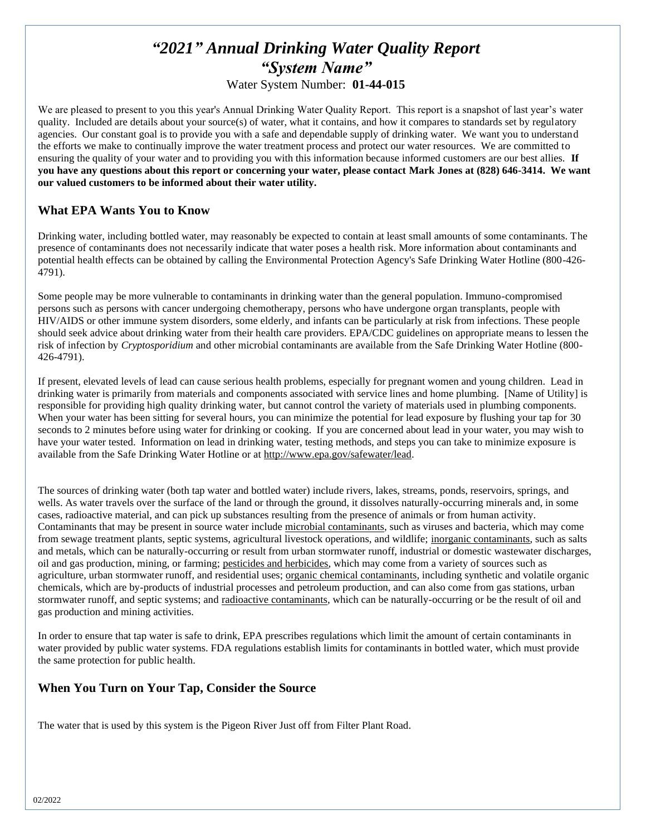# *"2021" Annual Drinking Water Quality Report "System Name"*

### Water System Number: **01-44-015**

We are pleased to present to you this year's Annual Drinking Water Quality Report. This report is a snapshot of last year's water quality. Included are details about your source(s) of water, what it contains, and how it compares to standards set by regulatory agencies. Our constant goal is to provide you with a safe and dependable supply of drinking water. We want you to understand the efforts we make to continually improve the water treatment process and protect our water resources. We are committed to ensuring the quality of your water and to providing you with this information because informed customers are our best allies. **If you have any questions about this report or concerning your water, please contact Mark Jones at (828) 646-3414. We want our valued customers to be informed about their water utility.** 

## **What EPA Wants You to Know**

Drinking water, including bottled water, may reasonably be expected to contain at least small amounts of some contaminants. The presence of contaminants does not necessarily indicate that water poses a health risk. More information about contaminants and potential health effects can be obtained by calling the Environmental Protection Agency's Safe Drinking Water Hotline (800-426- 4791).

Some people may be more vulnerable to contaminants in drinking water than the general population. Immuno-compromised persons such as persons with cancer undergoing chemotherapy, persons who have undergone organ transplants, people with HIV/AIDS or other immune system disorders, some elderly, and infants can be particularly at risk from infections. These people should seek advice about drinking water from their health care providers. EPA/CDC guidelines on appropriate means to lessen the risk of infection by *Cryptosporidium* and other microbial contaminants are available from the Safe Drinking Water Hotline (800- 426-4791).

If present, elevated levels of lead can cause serious health problems, especially for pregnant women and young children. Lead in drinking water is primarily from materials and components associated with service lines and home plumbing. [Name of Utility] is responsible for providing high quality drinking water, but cannot control the variety of materials used in plumbing components. When your water has been sitting for several hours, you can minimize the potential for lead exposure by flushing your tap for 30 seconds to 2 minutes before using water for drinking or cooking. If you are concerned about lead in your water, you may wish to have your water tested. Information on lead in drinking water, testing methods, and steps you can take to minimize exposure is available from the Safe Drinking Water Hotline or at [http://www.epa.gov/safewater/lead.](http://www.epa.gov/safewater/lead)

The sources of drinking water (both tap water and bottled water) include rivers, lakes, streams, ponds, reservoirs, springs, and wells. As water travels over the surface of the land or through the ground, it dissolves naturally-occurring minerals and, in some cases, radioactive material, and can pick up substances resulting from the presence of animals or from human activity. Contaminants that may be present in source water include microbial contaminants, such as viruses and bacteria, which may come from sewage treatment plants, septic systems, agricultural livestock operations, and wildlife; inorganic contaminants, such as salts and metals, which can be naturally-occurring or result from urban stormwater runoff, industrial or domestic wastewater discharges, oil and gas production, mining, or farming; pesticides and herbicides, which may come from a variety of sources such as agriculture, urban stormwater runoff, and residential uses; organic chemical contaminants, including synthetic and volatile organic chemicals, which are by-products of industrial processes and petroleum production, and can also come from gas stations, urban stormwater runoff, and septic systems; and radioactive contaminants, which can be naturally-occurring or be the result of oil and gas production and mining activities.

In order to ensure that tap water is safe to drink, EPA prescribes regulations which limit the amount of certain contaminants in water provided by public water systems. FDA regulations establish limits for contaminants in bottled water, which must provide the same protection for public health.

## **When You Turn on Your Tap, Consider the Source**

The water that is used by this system is the Pigeon River Just off from Filter Plant Road.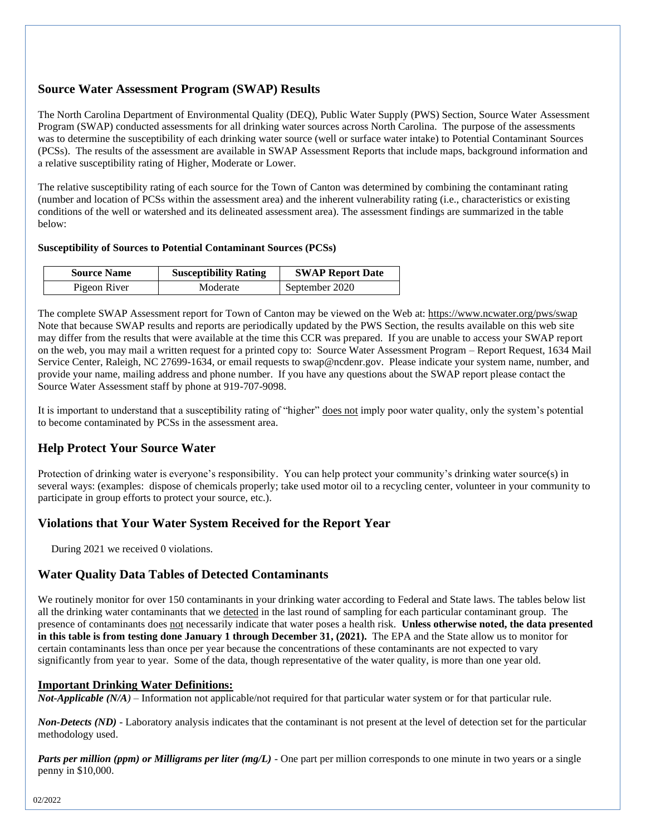# **Source Water Assessment Program (SWAP) Results**

The North Carolina Department of Environmental Quality (DEQ), Public Water Supply (PWS) Section, Source Water Assessment Program (SWAP) conducted assessments for all drinking water sources across North Carolina. The purpose of the assessments was to determine the susceptibility of each drinking water source (well or surface water intake) to Potential Contaminant Sources (PCSs). The results of the assessment are available in SWAP Assessment Reports that include maps, background information and a relative susceptibility rating of Higher, Moderate or Lower.

The relative susceptibility rating of each source for the Town of Canton was determined by combining the contaminant rating (number and location of PCSs within the assessment area) and the inherent vulnerability rating (i.e., characteristics or existing conditions of the well or watershed and its delineated assessment area). The assessment findings are summarized in the table below:

### **Susceptibility of Sources to Potential Contaminant Sources (PCSs)**

| <b>Source Name</b> | <b>Susceptibility Rating</b> | <b>SWAP Report Date</b> |
|--------------------|------------------------------|-------------------------|
| Pigeon River       | Moderate                     | September 2020          |

The complete SWAP Assessment report for Town of Canton may be viewed on the Web at:<https://www.ncwater.org/pws/swap> Note that because SWAP results and reports are periodically updated by the PWS Section, the results available on this web site may differ from the results that were available at the time this CCR was prepared. If you are unable to access your SWAP report on the web, you may mail a written request for a printed copy to: Source Water Assessment Program – Report Request, 1634 Mail Service Center, Raleigh, NC 27699-1634, or email requests to swap@ncdenr.gov. Please indicate your system name, number, and provide your name, mailing address and phone number. If you have any questions about the SWAP report please contact the Source Water Assessment staff by phone at 919-707-9098.

It is important to understand that a susceptibility rating of "higher" does not imply poor water quality, only the system's potential to become contaminated by PCSs in the assessment area.

## **Help Protect Your Source Water**

Protection of drinking water is everyone's responsibility. You can help protect your community's drinking water source(s) in several ways: (examples: dispose of chemicals properly; take used motor oil to a recycling center, volunteer in your community to participate in group efforts to protect your source, etc.).

## **Violations that Your Water System Received for the Report Year**

During 2021 we received 0 violations.

## **Water Quality Data Tables of Detected Contaminants**

We routinely monitor for over 150 contaminants in your drinking water according to Federal and State laws. The tables below list all the drinking water contaminants that we detected in the last round of sampling for each particular contaminant group. The presence of contaminants does not necessarily indicate that water poses a health risk. **Unless otherwise noted, the data presented in this table is from testing done January 1 through December 31, (2021).** The EPA and the State allow us to monitor for certain contaminants less than once per year because the concentrations of these contaminants are not expected to vary significantly from year to year. Some of the data, though representative of the water quality, is more than one year old.

### **Important Drinking Water Definitions:**

*Not-Applicable (N/A)* – Information not applicable/not required for that particular water system or for that particular rule.

*Non-Detects (ND)* - Laboratory analysis indicates that the contaminant is not present at the level of detection set for the particular methodology used.

*Parts per million (ppm) or Milligrams per liter (mg/L)* - One part per million corresponds to one minute in two years or a single penny in \$10,000.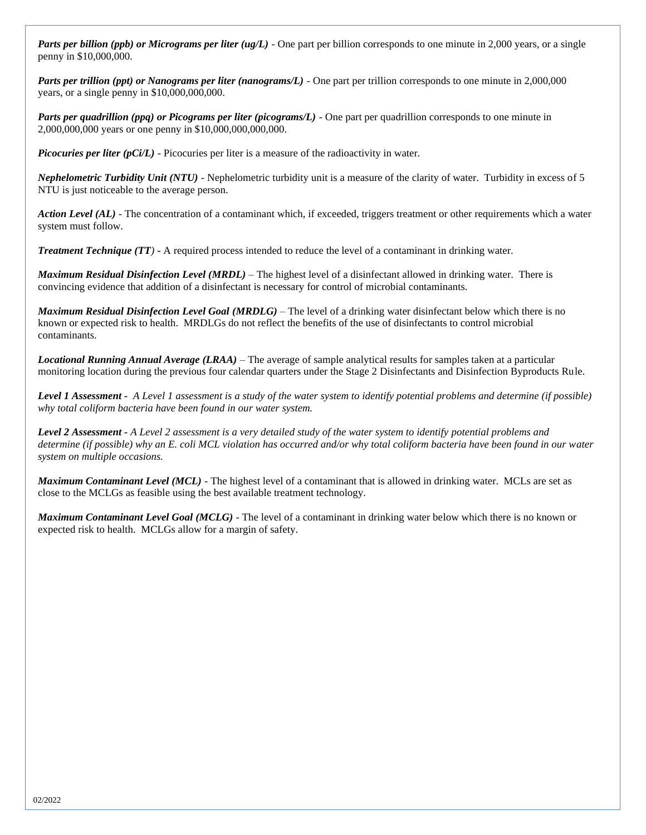*Parts per billion (ppb) or Micrograms per liter (ug/L)* - One part per billion corresponds to one minute in 2,000 years, or a single penny in \$10,000,000.

*Parts per trillion (ppt) or Nanograms per liter (nanograms/L)* - One part per trillion corresponds to one minute in 2,000,000 years, or a single penny in \$10,000,000,000.

*Parts per quadrillion (ppq) or Picograms per liter (picograms/L)* - One part per quadrillion corresponds to one minute in 2,000,000,000 years or one penny in \$10,000,000,000,000.

*Picocuries per liter (pCi/L)* - Picocuries per liter is a measure of the radioactivity in water.

*Nephelometric Turbidity Unit (NTU)* - Nephelometric turbidity unit is a measure of the clarity of water. Turbidity in excess of 5 NTU is just noticeable to the average person.

*Action Level (AL) -* The concentration of a contaminant which, if exceeded, triggers treatment or other requirements which a water system must follow.

*Treatment Technique (TT)* **-** A required process intended to reduce the level of a contaminant in drinking water.

*Maximum Residual Disinfection Level (MRDL)* – The highest level of a disinfectant allowed in drinking water. There is convincing evidence that addition of a disinfectant is necessary for control of microbial contaminants.

*Maximum Residual Disinfection Level Goal (MRDLG)* – The level of a drinking water disinfectant below which there is no known or expected risk to health. MRDLGs do not reflect the benefits of the use of disinfectants to control microbial contaminants.

*Locational Running Annual Average (LRAA)* – The average of sample analytical results for samples taken at a particular monitoring location during the previous four calendar quarters under the Stage 2 Disinfectants and Disinfection Byproducts Rule.

*Level 1 Assessment - A Level 1 assessment is a study of the water system to identify potential problems and determine (if possible) why total coliform bacteria have been found in our water system.*

*Level 2 Assessment - A Level 2 assessment is a very detailed study of the water system to identify potential problems and determine (if possible) why an E. coli MCL violation has occurred and/or why total coliform bacteria have been found in our water system on multiple occasions.*

*Maximum Contaminant Level (MCL)* - The highest level of a contaminant that is allowed in drinking water. MCLs are set as close to the MCLGs as feasible using the best available treatment technology.

*Maximum Contaminant Level Goal (MCLG)* - The level of a contaminant in drinking water below which there is no known or expected risk to health. MCLGs allow for a margin of safety.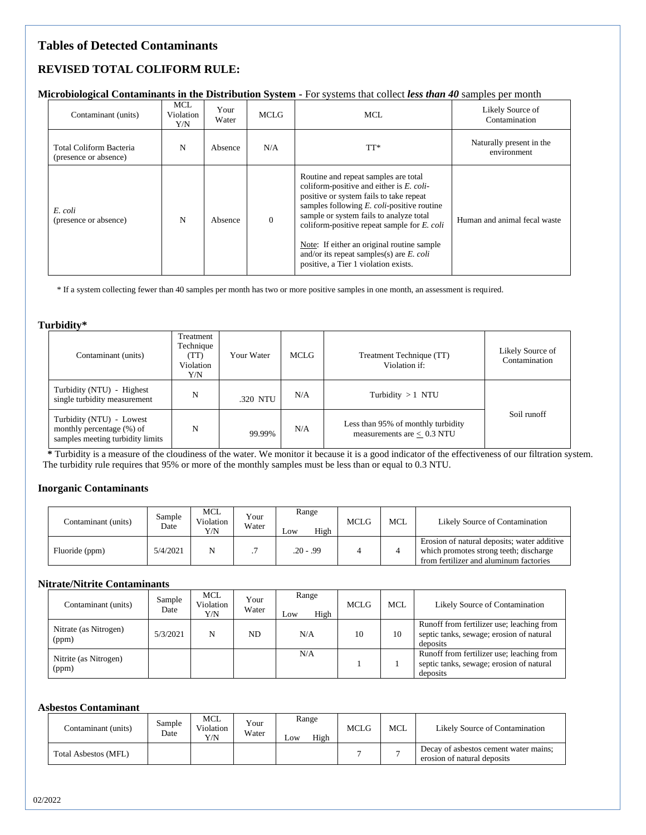# **Tables of Detected Contaminants**

# **REVISED TOTAL COLIFORM RULE:**

### **Microbiological Contaminants in the Distribution System -** For systems that collect *less than 40* samples per month

| Contaminant (units)                              | MCL<br>Violation<br>Y/N | Your<br>Water | <b>MCLG</b>  | MCL.                                                                                                                                                                                                                                                                                                                                                                                                                           | Likely Source of<br>Contamination       |
|--------------------------------------------------|-------------------------|---------------|--------------|--------------------------------------------------------------------------------------------------------------------------------------------------------------------------------------------------------------------------------------------------------------------------------------------------------------------------------------------------------------------------------------------------------------------------------|-----------------------------------------|
| Total Coliform Bacteria<br>(presence or absence) | N                       | Absence       | N/A          | $TT^*$                                                                                                                                                                                                                                                                                                                                                                                                                         | Naturally present in the<br>environment |
| E. coli<br>(presence or absence)                 | N                       | Absence       | $\mathbf{0}$ | Routine and repeat samples are total<br>coliform-positive and either is E. coli-<br>positive or system fails to take repeat<br>samples following $E$ . <i>coli</i> -positive routine<br>sample or system fails to analyze total<br>coliform-positive repeat sample for $E$ . coli<br>Note: If either an original routine sample<br>and/or its repeat samples(s) are $E.$ $\text{coli}$<br>positive, a Tier 1 violation exists. | Human and animal fecal waste            |

\* If a system collecting fewer than 40 samples per month has two or more positive samples in one month, an assessment is required.

### **Turbidity\***

| Contaminant (units)                                                                       | Treatment<br>Technique<br>(TT)<br>Violation<br>Y/N | Your Water | MCLG               | Treatment Technique (TT)<br>Violation if:                          | Likely Source of<br>Contamination |
|-------------------------------------------------------------------------------------------|----------------------------------------------------|------------|--------------------|--------------------------------------------------------------------|-----------------------------------|
| Turbidity (NTU) - Highest<br>single turbidity measurement                                 | N<br>N/A<br>.320 NTU                               |            | Turbidity $>1$ NTU |                                                                    |                                   |
| Turbidity (NTU) - Lowest<br>monthly percentage (%) of<br>samples meeting turbidity limits | N                                                  |            | N/A                | Less than 95% of monthly turbidity<br>measurements are $< 0.3$ NTU | Soil runoff                       |

 **\*** Turbidity is a measure of the cloudiness of the water. We monitor it because it is a good indicator of the effectiveness of our filtration system. The turbidity rule requires that 95% or more of the monthly samples must be less than or equal to 0.3 NTU.

### **Inorganic Contaminants**

| Contaminant (units) | Sample<br>Date | MCL<br>Violation<br>Y/N | Your<br>Water | Range<br>High<br>Low | MCLG | <b>MCL</b> | Likely Source of Contamination                                                                                                  |
|---------------------|----------------|-------------------------|---------------|----------------------|------|------------|---------------------------------------------------------------------------------------------------------------------------------|
| Fluoride (ppm)      | 5/4/2021       |                         |               | $.20 - .99$          |      |            | Erosion of natural deposits; water additive<br>which promotes strong teeth; discharge<br>from fertilizer and aluminum factories |

#### **Nitrate/Nitrite Contaminants**

|       | Contaminant (units)   | Sample<br>Date | <b>MCL</b><br>Violation<br>Y/N | Your<br>Water | Range<br>High<br>LOW | MCLG | <b>MCL</b> | Likely Source of Contamination                                                                    |
|-------|-----------------------|----------------|--------------------------------|---------------|----------------------|------|------------|---------------------------------------------------------------------------------------------------|
| (ppm) | Nitrate (as Nitrogen) | 5/3/2021       | N                              | ND            | N/A                  | 10   | 10         | Runoff from fertilizer use; leaching from<br>septic tanks, sewage; erosion of natural<br>deposits |
| (ppm) | Nitrite (as Nitrogen) |                |                                |               | N/A                  |      |            | Runoff from fertilizer use; leaching from<br>septic tanks, sewage; erosion of natural<br>deposits |

### **Asbestos Contaminant**

| Contaminant (units)         | Sample<br>Date | MCL<br>Violation<br>Y/N | Your<br>Water | Range<br>High<br>$L$ <sub>O</sub> W | MCLG | <b>MCL</b> | Likely Source of Contamination                                       |
|-----------------------------|----------------|-------------------------|---------------|-------------------------------------|------|------------|----------------------------------------------------------------------|
| <b>Total Asbestos (MFL)</b> |                |                         |               |                                     |      |            | Decay of asbestos cement water mains;<br>erosion of natural deposits |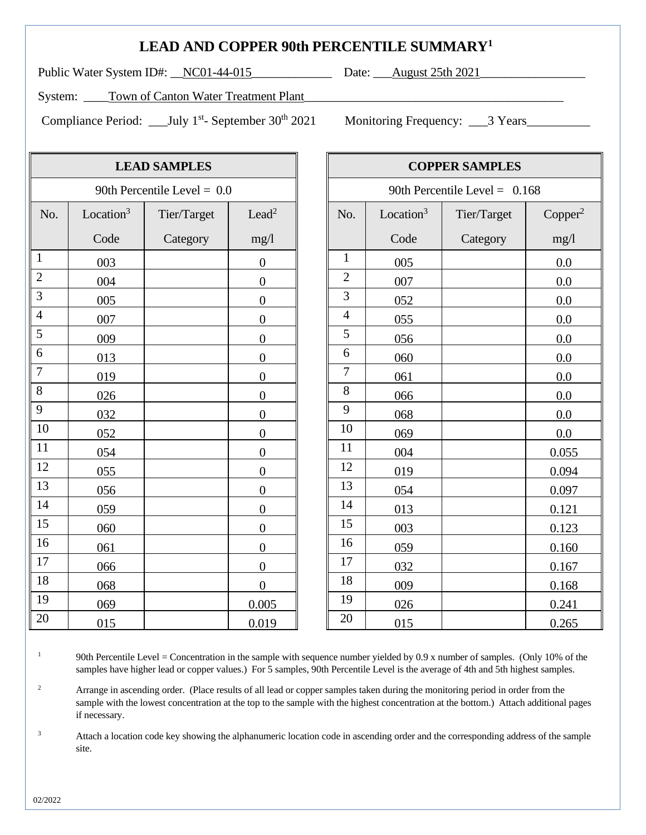# **LEAD AND COPPER 90th PERCENTILE SUMMARY<sup>1</sup>**

Public Water System ID#: \_\_NC01-44-015\_\_\_\_\_\_\_\_\_\_\_\_\_ Date: \_\_\_August 25th 2021\_\_\_\_\_\_\_\_\_\_\_\_\_\_\_\_\_

System: \_\_\_\_\_Town of Canton Water Treatment Plant\_\_\_\_\_\_\_\_\_\_\_\_\_\_\_\_\_\_\_\_\_\_\_\_\_\_\_\_\_\_\_

Compliance Period: \_\_\_July 1<sup>st</sup>- September  $30<sup>th</sup> 2021$ 

- September 30th 2021 Monitoring Frequency: \_\_\_3 Years\_\_\_\_\_\_\_\_\_\_

|                |              | <b>LEAD SAMPLES</b>           |                   |                |              | <b>COPPER SAMPLES</b>           |        |
|----------------|--------------|-------------------------------|-------------------|----------------|--------------|---------------------------------|--------|
|                |              | 90th Percentile Level = $0.0$ |                   |                |              | 90th Percentile Level = $0.168$ |        |
| No.            | Location $3$ | Tier/Target                   | Lead <sup>2</sup> | No.            | Location $3$ | Tier/Target                     | Copper |
|                | Code         | Category                      | mg/l              |                | Code         | Category                        | mg/1   |
| $\mathbf{1}$   | 003          |                               | $\boldsymbol{0}$  | $\mathbf{1}$   | 005          |                                 | 0.0    |
| $\overline{2}$ | 004          |                               | $\boldsymbol{0}$  | $\overline{2}$ | 007          |                                 | 0.0    |
| $\overline{3}$ | 005          |                               | $\boldsymbol{0}$  | $\overline{3}$ | 052          |                                 | 0.0    |
| $\overline{4}$ | 007          |                               | $\boldsymbol{0}$  | $\overline{4}$ | 055          |                                 | 0.0    |
| 5              | 009          |                               | $\overline{0}$    | 5              | 056          |                                 | 0.0    |
| 6              | 013          |                               | $\overline{0}$    | 6              | 060          |                                 | 0.0    |
| $\overline{7}$ | 019          |                               | $\overline{0}$    | $\overline{7}$ | 061          |                                 | 0.0    |
| 8              | 026          |                               | $\overline{0}$    | 8              | 066          |                                 | 0.0    |
| 9              | 032          |                               | $\overline{0}$    | 9              | 068          |                                 | 0.0    |
| 10             | 052          |                               | $\overline{0}$    | 10             | 069          |                                 | 0.0    |
| 11             | 054          |                               | $\overline{0}$    | 11             | 004          |                                 | 0.055  |
| 12             | 055          |                               | $\overline{0}$    | 12             | 019          |                                 | 0.094  |
| 13             | 056          |                               | $\overline{0}$    | 13             | 054          |                                 | 0.097  |
| 14             | 059          |                               | $\overline{0}$    | 14             | 013          |                                 | 0.121  |
| 15             | 060          |                               | $\overline{0}$    | 15             | 003          |                                 | 0.123  |
| 16             | 061          |                               | $\overline{0}$    | 16             | 059          |                                 | 0.160  |
| 17             | 066          |                               | $\overline{0}$    | 17             | 032          |                                 | 0.167  |
| 18             | 068          |                               | $\overline{0}$    | 18             | 009          |                                 | 0.168  |
| 19             | 069          |                               | 0.005             | 19             | 026          |                                 | 0.241  |
| 20             | $\bigcap$ 15 |                               | 0.010             | 20             | $\bigcap$ 15 |                                 | 0.265  |

|                 |              | <b>LEAD SAMPLES</b>           |                   | <b>COPPER SAMPLES</b>           |              |             |                     |  |
|-----------------|--------------|-------------------------------|-------------------|---------------------------------|--------------|-------------|---------------------|--|
|                 |              | 90th Percentile Level = $0.0$ |                   | 90th Percentile Level = $0.168$ |              |             |                     |  |
| No.             | Location $3$ | Tier/Target                   | Lead <sup>2</sup> | No.                             | Location $3$ | Tier/Target | Copper <sup>2</sup> |  |
|                 | Code         | Category                      | mg/l              |                                 | Code         | Category    | mg/l                |  |
| $\mathbf{1}$    | 003          |                               | $\overline{0}$    | $\mathbf{1}$                    | 005          |             | 0.0                 |  |
| $\overline{c}$  | 004          |                               | $\overline{0}$    | $\overline{2}$                  | 007          |             | 0.0                 |  |
| $\overline{3}$  | 005          |                               | $\boldsymbol{0}$  | 3                               | 052          |             | 0.0                 |  |
| $\overline{4}$  | 007          |                               | $\overline{0}$    | $\overline{4}$                  | 055          |             | 0.0                 |  |
| $\overline{5}$  | 009          |                               | $\boldsymbol{0}$  | 5                               | 056          |             | 0.0                 |  |
| $\overline{6}$  | 013          |                               | $\boldsymbol{0}$  | 6                               | 060          |             | 0.0                 |  |
| $\overline{7}$  | 019          |                               | $\overline{0}$    | $\overline{7}$                  | 061          |             | 0.0                 |  |
| $\overline{8}$  | 026          |                               | $\boldsymbol{0}$  | 8                               | 066          |             | 0.0                 |  |
| $\overline{9}$  | 032          |                               | $\boldsymbol{0}$  | 9                               | 068          |             | 0.0                 |  |
| 10              | 052          |                               | $\overline{0}$    | 10                              | 069          |             | 0.0                 |  |
| 11              | 054          |                               | $\boldsymbol{0}$  | 11                              | 004          |             | 0.055               |  |
| $\overline{12}$ | 055          |                               | $\boldsymbol{0}$  | 12                              | 019          |             | 0.094               |  |
| $\overline{13}$ | 056          |                               | $\boldsymbol{0}$  | 13                              | 054          |             | 0.097               |  |
| $\overline{14}$ | 059          |                               | $\boldsymbol{0}$  | 14                              | 013          |             | 0.121               |  |
| $\overline{15}$ | 060          |                               | $\boldsymbol{0}$  | 15                              | 003          |             | 0.123               |  |
| 16              | 061          |                               | $\boldsymbol{0}$  | 16                              | 059          |             | 0.160               |  |
| $\overline{17}$ | 066          |                               | $\boldsymbol{0}$  | 17                              | 032          |             | 0.167               |  |
| 18              | 068          |                               | $\boldsymbol{0}$  | 18                              | 009          |             | 0.168               |  |
| $\overline{19}$ | 069          |                               | 0.005             | 19                              | 026          |             | 0.241               |  |
| 20              | 015          |                               | 0.019             | 20                              | 015          |             | 0.265               |  |

<sup>1</sup> 90th Percentile Level = Concentration in the sample with sequence number yielded by 0.9 x number of samples. (Only 10% of the samples have higher lead or copper values.) For 5 samples, 90th Percentile Level is the average of 4th and 5th highest samples.

<sup>2</sup> Arrange in ascending order. (Place results of all lead or copper samples taken during the monitoring period in order from the sample with the lowest concentration at the top to the sample with the highest concentration at the bottom.) Attach additional pages if necessary.

<sup>3</sup> Attach a location code key showing the alphanumeric location code in ascending order and the corresponding address of the sample site.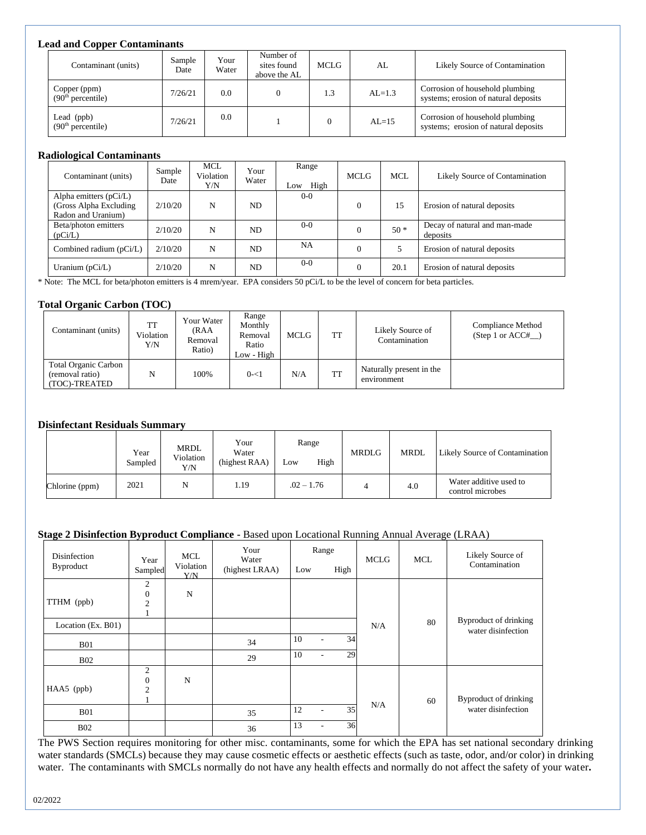### **Lead and Copper Contaminants**

|            | Contaminant (units)                           | Sample<br>Date | Your<br>Water | Number of<br>sites found<br>above the AL | MCLG. | AL        | Likely Source of Contamination                                          |
|------------|-----------------------------------------------|----------------|---------------|------------------------------------------|-------|-----------|-------------------------------------------------------------------------|
|            | Copper (ppm)<br>(90 <sup>th</sup> percentile) | 7/26/21        | 0.0           |                                          | 1.3   | $AL=1.3$  | Corrosion of household plumbing<br>systems; erosion of natural deposits |
| Lead (ppb) | (90 <sup>th</sup> percentile)                 | 7/26/21        | 0.0           |                                          |       | $AI = 15$ | Corrosion of household plumbing<br>systems; erosion of natural deposits |

#### **Radiological Contaminants**

| Contaminant (units)                                                       | Sample<br>Date | <b>MCL</b><br>Violation<br>Y/N | Your<br>Water | Range<br>High<br>Low | <b>MCLG</b> | <b>MCL</b> | Likely Source of Contamination            |
|---------------------------------------------------------------------------|----------------|--------------------------------|---------------|----------------------|-------------|------------|-------------------------------------------|
| Alpha emitters $(pCi/L)$<br>(Gross Alpha Excluding)<br>Radon and Uranium) | 2/10/20        | N                              | ND            | $0-0$                | $\theta$    | 15         | Erosion of natural deposits               |
| Beta/photon emitters<br>(pCi/L)                                           | 2/10/20        | N                              | ND            | $0-0$                |             | $50*$      | Decay of natural and man-made<br>deposits |
| Combined radium (pCi/L)                                                   | 2/10/20        | N                              | ND            | <b>NA</b>            | $\Omega$    |            | Erosion of natural deposits               |
| Uranium $(pCi/L)$                                                         | 2/10/20        | N                              | ND            | $0-0$                | $\Omega$    | 20.1       | Erosion of natural deposits               |

\* Note: The MCL for beta/photon emitters is 4 mrem/year. EPA considers 50 pCi/L to be the level of concern for beta particles.

### **Total Organic Carbon (TOC)**

| Contaminant (units)                                      | <b>TT</b><br>Violation<br>Y/N | Your Water<br>(RAA<br>Removal<br>Ratio) | Range<br>Monthly<br>Removal<br>Ratio<br>Low - High | MCLG | TT        | Likely Source of<br>Contamination       | Compliance Method<br>$(Step 1 or ACC#_ )$ |
|----------------------------------------------------------|-------------------------------|-----------------------------------------|----------------------------------------------------|------|-----------|-----------------------------------------|-------------------------------------------|
| Total Organic Carbon<br>(removal ratio)<br>(TOC)-TREATED | N                             | 100%                                    | $0 - 1$                                            | N/A  | <b>TT</b> | Naturally present in the<br>environment |                                           |

### **Disinfectant Residuals Summary**

|                | Year<br>Sampled | MRDL<br>Violation<br>Y/N | Your<br>Water<br>(highest RAA) | Range<br>High<br>Low | <b>MRDLG</b> | <b>MRDL</b> | <b>Likely Source of Contamination</b>      |
|----------------|-----------------|--------------------------|--------------------------------|----------------------|--------------|-------------|--------------------------------------------|
| Chlorine (ppm) | 2021            | N                        | 1.19                           | $.02 - 1.76$         |              | 4.0         | Water additive used to<br>control microbes |

### **Stage 2 Disinfection Byproduct Compliance -** Based upon Locational Running Annual Average (LRAA)

| Disinfection<br>Byproduct | Year<br>Sampled                                      | <b>MCL</b><br>Violation<br>Y/N | Your<br>Water<br>(highest LRAA) | Low | Range | High | <b>MCLG</b> | <b>MCL</b> | Likely Source of<br>Contamination           |  |
|---------------------------|------------------------------------------------------|--------------------------------|---------------------------------|-----|-------|------|-------------|------------|---------------------------------------------|--|
| TTHM (ppb)                | $\overline{c}$<br>$\theta$<br>$\overline{c}$         | N                              |                                 |     |       |      |             |            | Byproduct of drinking<br>water disinfection |  |
| Location (Ex. B01)        |                                                      |                                |                                 |     |       |      | N/A         | 80         |                                             |  |
| <b>B01</b>                |                                                      |                                | 34                              | 10  | ٠     | 34   |             |            |                                             |  |
| <b>B02</b>                |                                                      |                                | 29                              | 10  | ٠     | 29   |             |            |                                             |  |
| HAA5 (ppb)                | $\mathfrak{2}$<br>$\boldsymbol{0}$<br>$\overline{c}$ | N                              |                                 |     |       |      |             | 60         | Byproduct of drinking                       |  |
| <b>B01</b>                |                                                      |                                | 35                              | 12  |       | 35   | N/A         |            | water disinfection                          |  |
| <b>B02</b>                |                                                      |                                | 36                              | 13  |       | 36   |             |            |                                             |  |

The PWS Section requires monitoring for other misc. contaminants, some for which the EPA has set national secondary drinking water standards (SMCLs) because they may cause cosmetic effects or aesthetic effects (such as taste, odor, and/or color) in drinking water. The contaminants with SMCLs normally do not have any health effects and normally do not affect the safety of your water**.**